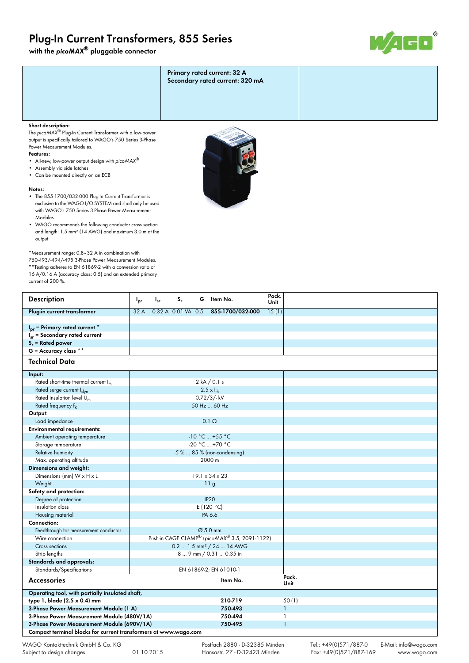# **Plug-In Current Transformers, 855 Series**

**with the** *picoMAX***® pluggable connector**



| Primary rated current: 32 A<br>Secondary rated current: 320 mA |  |
|----------------------------------------------------------------|--|
|                                                                |  |
|                                                                |  |

### **Short description:**

The *picoMAX*® Plug-In Current Transformer with a low-power output is specifically tailored to WAGO's 750 Series 3-Phase Power Measurement Modules.

#### **Features:**

- All-new, low-power output design with *picoMAX*®
- Assembly via side latches
- Can be mounted directly on an ECB

#### **Notes:**

- The 855-1700/032-000 Plug-In Current Transformer is exclusive to the WAGO-I/O-SYSTEM and shall only be used with WAGO's 750 Series 3-Phase Power Measurement Modules.
- WAGO recommends the following conductor cross section and length: 1.5 mm² (14 AWG) and maximum 3.0 m at the output

\*Measurement range: 0.8–32 A in combination with

750-493/-494/-495 3-Phase Power Measurement Modules. \*\*Testing adheres to EN 61869-2 with a conversion ratio of 16 A/0.16 A (accuracy class: 0.5) and an extended primary current of 200 %.

| <b>Description</b>                                                    | $S_r$<br>G<br>Item No.<br>$I_{sr}$<br>$I_{pr}$ | Pack.<br>Unit |  |
|-----------------------------------------------------------------------|------------------------------------------------|---------------|--|
| Plug-in current transformer                                           | 0.32 A 0.01 VA 0.5<br>855-1700/032-000<br>32 A | 15(1)         |  |
|                                                                       |                                                |               |  |
| $Ipr$ = Primary rated current $*$                                     |                                                |               |  |
| $I_{sr}$ = Secondary rated current                                    |                                                |               |  |
| $S_r$ = Rated power                                                   |                                                |               |  |
| $G =$ Accuracy class **                                               |                                                |               |  |
| <b>Technical Data</b>                                                 |                                                |               |  |
| Input:                                                                |                                                |               |  |
| Rated short-time thermal current Ith                                  | 2 kA / 0.1 s                                   |               |  |
| Rated surge current l <sub>dyn</sub>                                  | $2.5 \times I_{th}$                            |               |  |
| Rated insulation level $U_m$                                          | $0.72/3$ /-kV                                  |               |  |
| Rated frequency f <sub>R</sub>                                        | 50 Hz  60 Hz                                   |               |  |
| Output:                                                               |                                                |               |  |
| Load impedance                                                        | $0.1 \Omega$                                   |               |  |
| <b>Environmental requirements:</b>                                    |                                                |               |  |
| Ambient operating temperature                                         | $-10 °C  +55 °C$                               |               |  |
| Storage temperature                                                   | $-20 °C  +70 °C$                               |               |  |
| <b>Relative humidity</b>                                              | 5%  85% (non-condensing)                       |               |  |
| Max. operating altitude                                               | 2000 m                                         |               |  |
| Dimensions and weight:                                                |                                                |               |  |
| Dimensions (mm) W x H x L                                             | $19.1 \times 34 \times 23$                     |               |  |
| Weight                                                                | 11g                                            |               |  |
| Safety and protection:                                                |                                                |               |  |
| Degree of protection                                                  | <b>IP20</b>                                    |               |  |
| Insulation class                                                      | E(120 °C)                                      |               |  |
| Housing material                                                      | PA 6.6                                         |               |  |
| Connection:                                                           |                                                |               |  |
| Feedthrough for measurement conductor                                 | $\varnothing$ 5.0 mm                           |               |  |
| Wire connection                                                       | Push-in CAGE CLAMP® (picoMAX® 3.5, 2091-1122)  |               |  |
| Cross sections                                                        | 0.2  1.5 mm <sup>2</sup> / 24  14 AWG          |               |  |
| Strip lengths                                                         | 8  9 mm / 0.31  0.35 in                        |               |  |
| Standards and approvals:                                              |                                                |               |  |
| Standards/Specifications                                              | EN 61869-2; EN 61010-1                         |               |  |
| <b>Accessories</b>                                                    | Item No.                                       | Pack.         |  |
|                                                                       |                                                | Unit          |  |
| Operating tool, with partially insulated shaft,                       |                                                |               |  |
| type 1, blade (2.5 x 0.4) mm                                          | 210-719                                        | 50(1)         |  |
| 3-Phase Power Measurement Module (1 A)                                | 750-493                                        | $\mathbf{1}$  |  |
| 3-Phase Power Measurement Module (480V/1A)<br>750-494                 |                                                | $\mathbf{1}$  |  |
| 3-Phase Power Measurement Module (690V/1A)<br>750-495<br>$\mathbf{1}$ |                                                |               |  |
| Compact terminal blocks for current transformers at www.wago.com      |                                                |               |  |



 Postfach 2880 - D-32385 Minden Hansastr. 27 - D-32423 Minden

Tel.: +49(0)571/887-0 E-Mail: info@wago.com Fax: +49(0)571/887-169 www.wago.com